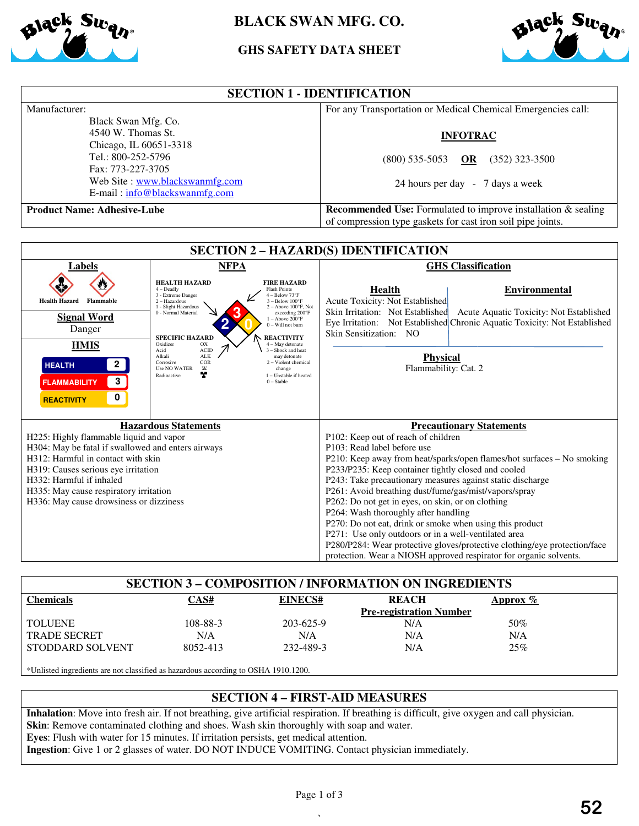

# **BLACK SWAN MFG. CO.**

# **GHS GHS SAFETY DATA SHEET**



| <b>SECTION 1 - IDENTIFICATION</b>  |                                                                      |  |  |
|------------------------------------|----------------------------------------------------------------------|--|--|
| Manufacturer:                      | For any Transportation or Medical Chemical Emergencies call:         |  |  |
| Black Swan Mfg. Co.                |                                                                      |  |  |
| 4540 W. Thomas St.                 | <b>INFOTRAC</b>                                                      |  |  |
| Chicago, IL 60651-3318             |                                                                      |  |  |
| Tel.: 800-252-5796                 | $(352)$ 323-3500<br>$(800)$ 535-5053 OR                              |  |  |
| Fax: 773-227-3705                  |                                                                      |  |  |
| Web Site : www.blackswanmfg.com    | 24 hours per day - 7 days a week                                     |  |  |
| $E$ -mail: $info@blackswannfg.com$ |                                                                      |  |  |
| <b>Product Name: Adhesive-Lube</b> | <b>Recommended Use:</b> Formulated to improve installation & sealing |  |  |
|                                    | of compression type gaskets for cast iron soil pipe joints.          |  |  |

| <b>SECTION 2 - HAZARD(S) IDENTIFICATION</b>                                                                                  |                                                                                                                                                                                                                                                                                                                                                                                                                                                                                                                                         |  |  |  |  |
|------------------------------------------------------------------------------------------------------------------------------|-----------------------------------------------------------------------------------------------------------------------------------------------------------------------------------------------------------------------------------------------------------------------------------------------------------------------------------------------------------------------------------------------------------------------------------------------------------------------------------------------------------------------------------------|--|--|--|--|
| <b>NFPA</b>                                                                                                                  | <b>GHS</b> Classification                                                                                                                                                                                                                                                                                                                                                                                                                                                                                                               |  |  |  |  |
| <b>HEALTH HAZARD</b><br><b>Flash Points</b><br>$4 -$ Deadly<br>3 - Extreme Danger<br>2 - Hazardous<br>1 - Slight Hazardous   | <b>Environmental</b><br>Health<br>Acute Toxicity: Not Established                                                                                                                                                                                                                                                                                                                                                                                                                                                                       |  |  |  |  |
| 0 - Normal Material<br><b>SPECIFIC HAZARD</b>                                                                                | Skin Irritation: Not Established<br>Acute Aquatic Toxicity: Not Established<br>Eye Irritation: Not Established Chronic Aquatic Toxicity: Not Established<br>Skin Sensitization: NO                                                                                                                                                                                                                                                                                                                                                      |  |  |  |  |
| ACID<br>Acid<br><b>ALK</b><br>Alkali<br>COR<br>Corrosive<br><b>Use NO WATER</b><br>$\mathbf w$<br>change<br>Y<br>Radioactive | <b>Physical</b><br>Flammability: Cat. 2                                                                                                                                                                                                                                                                                                                                                                                                                                                                                                 |  |  |  |  |
|                                                                                                                              |                                                                                                                                                                                                                                                                                                                                                                                                                                                                                                                                         |  |  |  |  |
|                                                                                                                              | <b>Precautionary Statements</b>                                                                                                                                                                                                                                                                                                                                                                                                                                                                                                         |  |  |  |  |
|                                                                                                                              | P102: Keep out of reach of children                                                                                                                                                                                                                                                                                                                                                                                                                                                                                                     |  |  |  |  |
|                                                                                                                              | P103: Read label before use                                                                                                                                                                                                                                                                                                                                                                                                                                                                                                             |  |  |  |  |
| H312: Harmful in contact with skin                                                                                           | P210: Keep away from heat/sparks/open flames/hot surfaces - No smoking                                                                                                                                                                                                                                                                                                                                                                                                                                                                  |  |  |  |  |
| H319: Causes serious eye irritation                                                                                          | P233/P235: Keep container tightly closed and cooled                                                                                                                                                                                                                                                                                                                                                                                                                                                                                     |  |  |  |  |
|                                                                                                                              | P243: Take precautionary measures against static discharge                                                                                                                                                                                                                                                                                                                                                                                                                                                                              |  |  |  |  |
| H335: May cause respiratory irritation                                                                                       | P261: Avoid breathing dust/fume/gas/mist/vapors/spray                                                                                                                                                                                                                                                                                                                                                                                                                                                                                   |  |  |  |  |
|                                                                                                                              | P262: Do not get in eyes, on skin, or on clothing                                                                                                                                                                                                                                                                                                                                                                                                                                                                                       |  |  |  |  |
|                                                                                                                              | P264: Wash thoroughly after handling                                                                                                                                                                                                                                                                                                                                                                                                                                                                                                    |  |  |  |  |
|                                                                                                                              | P270: Do not eat, drink or smoke when using this product                                                                                                                                                                                                                                                                                                                                                                                                                                                                                |  |  |  |  |
|                                                                                                                              | P271: Use only outdoors or in a well-ventilated area                                                                                                                                                                                                                                                                                                                                                                                                                                                                                    |  |  |  |  |
|                                                                                                                              | P280/P284: Wear protective gloves/protective clothing/eye protection/face<br>protection. Wear a NIOSH approved respirator for organic solvents.                                                                                                                                                                                                                                                                                                                                                                                         |  |  |  |  |
|                                                                                                                              | <b>FIRE HAZARD</b><br>$4 - Below 73°F$<br>$3 - Below 100$ <sup>o</sup> F<br>$2 -$ Above 100 $\degree$ F, Not<br>exceeding 200°F<br>$1 -$ Above $200^{\circ}$ F<br>$0 -$ Will not burn<br><b>REACTIVITY</b><br>Oxidizer<br>OX<br>$4 - May$ detonate<br>$3 -$ Shock and heat<br>may detonate<br>2 - Violent chemical<br>1 - Unstable if heated<br>$0 - Stable$<br><b>Hazardous Statements</b><br>H225: Highly flammable liquid and vapor<br>H304: May be fatal if swallowed and enters airways<br>H336: May cause drowsiness or dizziness |  |  |  |  |

| <b>SECTION 3 - COMPOSITION / INFORMATION ON INGREDIENTS</b>                                                                                |          |                |                                |             |  |
|--------------------------------------------------------------------------------------------------------------------------------------------|----------|----------------|--------------------------------|-------------|--|
| <b>Chemicals</b>                                                                                                                           | CAS#     | <b>EINECS#</b> | <b>REACH</b>                   | Approx $\%$ |  |
|                                                                                                                                            |          |                | <b>Pre-registration Number</b> |             |  |
| <b>TOLUENE</b>                                                                                                                             | 108-88-3 | 203-625-9      | N/A                            | 50%         |  |
| <b>TRADE SECRET</b>                                                                                                                        | N/A      | N/A            | N/A                            | N/A         |  |
| STODDARD SOLVENT                                                                                                                           | 8052-413 | 232-489-3      | N/A                            | 25%         |  |
| *Unlisted ingredients are not classified as hazardous according to OSHA 1910.1200.                                                         |          |                |                                |             |  |
| <b>SECTION 4 - FIRST-AID MEASURES</b>                                                                                                      |          |                |                                |             |  |
| Inhalation: Move into fresh air. If not breathing, give artificial respiration. If breathing is difficult, give oxygen and call physician. |          |                |                                |             |  |

### **SECTION 4 – FIRST-AID MEASURES**

**Skin**: Remove contaminated clothing and shoes. Wash skin thoroughly with soap and water. **Eyes**: Flush with water for 15 minutes. If irritation persists, get medical attention. Inhalation: Move into fresh air. If not breathing, give artificial respiration. If breathing is difficult, give ox<br>Skin: Remove contaminated clothing and shoes. Wash skin thoroughly with soap and water.<br>Eyes: Flush with wa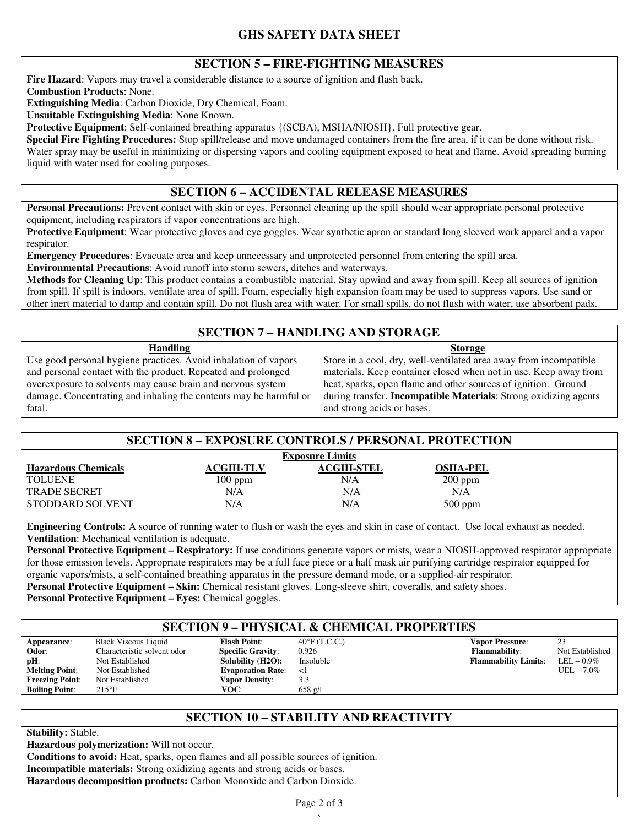## **GHS SAFETY DATA SHEET**

### **SECTION 5 – FIRE-FIGHTING MEASURES**

**Fire Hazard**: Vapors may travel a considerable distance to a source of ignition and flash back.

**Combustion Products**: None.

**Extinguishing Media**: Carbon Dioxide, Dry Chemical, Foam.

**Unsuitable Extinguishing Media**: None Known.

**Protective Equipment**: Self-contained breathing apparatus {(SCBA), MSHA/NIOSH}. Full protective gear.

**Special Fire Fighting Procedures:** Stop spill/release and move undamaged containers from the fire area, if it can be done without risk. Water spray may be useful in minimizing or dispersing vapors and cooling equipment exposed to heat and flame. Avoid spreading burning liquid with water used for cooling purposes.

# **SECTION 6 – ACCIDENTAL RELEASE MEASURES**

**Personal Precautions:** Prevent contact with skin or eyes. Personnel cleaning up the spill should wear appropriate personal protective equipment, including respirators if vapor concentrations are high.

**Protective Equipment**: Wear protective gloves and eye goggles. Wear synthetic apron or standard long sleeved work apparel and a vapor respirator.

**Emergency Procedures**: Evacuate area and keep unnecessary and unprotected personnel from entering the spill area.

**Environmental Precautions**: Avoid runoff into storm sewers, ditches and waterways.

**Methods for Cleaning Up**: This product contains a combustible material. Stay upwind and away from spill. Keep all sources of ignition from spill. If spill is indoors, ventilate area of spill. Foam, especially high expansion foam may be used to suppress vapors. Use sand or other inert material to damp and contain spill. Do not flush area with water. For small spills, do not flush with water, use absorbent pads.

### **SECTION 7 – HANDLING AND STORAGE**

**Handling** Use good personal hygiene practices. Avoid inhalation of vapors and personal contact with the product. Repeated and prolonged overexposure to solvents may cause brain and nervous system damage. Concentrating and inhaling the contents may be harmful or fatal. **Storage** Store in a cool, dry, well-ventilated area away from incompatible materials. Keep container closed when not in use. Keep away from heat, sparks, open flame and other sources of ignition. Ground during transfer. **Incompatible Materials**: Strong oxidizing agents and strong acids or bases.

#### **SECTION 8 – EXPOSURE CONTROLS / PERSONAL PROTECTION**

| <b>Exposure Limits</b>     |                  |                   |                 |
|----------------------------|------------------|-------------------|-----------------|
| <b>Hazardous Chemicals</b> | <b>ACGIH-TLV</b> | <b>ACGIH-STEL</b> | <b>OSHA-PEL</b> |
| TOLUENE                    | $100$ ppm        | N/A               | $200$ ppm       |
| <b>TRADE SECRET</b>        | N/A              | N/A               | N/A             |
| STODDARD SOLVENT           | N/A              | N/A               | $500$ ppm       |

**Engineering Controls:** A source of running water to flush or wash the eyes and skin in case of contact. Use local exhaust as needed. **Ventilation**: Mechanical ventilation is adequate.

**Personal Protective Equipment – Respiratory:** If use conditions generate vapors or mists, wear a NIOSH-approved respirator appropriate for those emission levels. Appropriate respirators may be a full face piece or a half mask air purifying cartridge respirator equipped for organic vapors/mists, a self-contained breathing apparatus in the pressure demand mode, or a supplied-air respirator. **Personal Protective Equipment – Skin:** Chemical resistant gloves. Long-sleeve shirt, coveralls, and safety shoes.

**Personal Protective Equipment – Eyes:** Chemical goggles.

#### **SECTION 9 – PHYSICAL & CHEMICAL PROPERTIES**

| Appearance:            | <b>Black Viscous Liquid</b> | <b>Flash Point:</b>      | $40^{\circ}$ F (T.C.C.) | <b>Vapor Pressure:</b>      | 23              |
|------------------------|-----------------------------|--------------------------|-------------------------|-----------------------------|-----------------|
| Odor:                  | Characteristic solvent odor | <b>Specific Gravity:</b> | 0.926                   | <b>Flammability:</b>        | Not Established |
| $pH$ :                 | Not Established             | Solubility (H2O):        | Insoluble               | <b>Flammability Limits:</b> | $LEL - 0.9\%$   |
| <b>Melting Point:</b>  | Not Established             | <b>Evaporation Rate:</b> | ΚÌ                      |                             | UEL $-7.0\%$    |
| <b>Freezing Point:</b> | Not Established             | <b>Vapor Density:</b>    | 3.3                     |                             |                 |
| <b>Boiling Point:</b>  | $215^{\circ}F$              | VOC:                     | $658 \text{ g}/1$       |                             |                 |

### **SECTION 10 – STABILITY AND REACTIVITY**

**Stability:** Stable.

**Hazardous polymerization:** Will not occur.

**Conditions to avoid:** Heat, sparks, open flames and all possible sources of ignition.

**Incompatible materials:** Strong oxidizing agents and strong acids or bases.

**Hazardous decomposition products:** Carbon Monoxide and Carbon Dioxide.